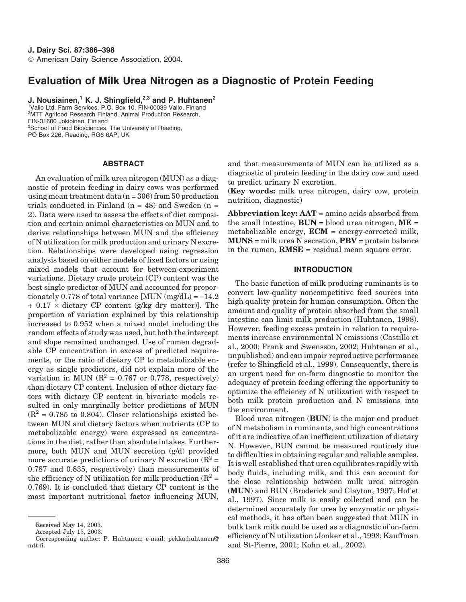# **Evaluation of Milk Urea Nitrogen as a Diagnostic of Protein Feeding**

**J. Nousiainen,<sup>1</sup> K. J. Shingfield,2,3 and P. Huhtanen<sup>2</sup>** 1 Valio Ltd, Farm Services, P.O. Box 10, FIN-00039 Valio, Finland

<sup>2</sup>MTT Agrifood Research Finland, Animal Production Research, FIN-31600 Jokioinen, Finland <sup>3</sup>School of Food Biosciences, The University of Reading,

PO Box 226, Reading, RG6 6AP, UK

### **ABSTRACT**

An evaluation of milk urea nitrogen (MUN) as a diagnostic of protein feeding in dairy cows was performed using mean treatment data  $(n = 306)$  from 50 production trials conducted in Finland  $(n = 48)$  and Sweden  $(n = 12)$ 2). Data were used to assess the effects of diet composition and certain animal characteristics on MUN and to derive relationships between MUN and the efficiency of N utilization for milk production and urinary N excretion. Relationships were developed using regression analysis based on either models of fixed factors or using mixed models that account for between-experiment variations. Dietary crude protein (CP) content was the best single predictor of MUN and accounted for proportionately 0.778 of total variance  $[MUN (mg/dL) = -14.2]$  $+ 0.17 \times$  dietary CP content (g/kg dry matter)]. The proportion of variation explained by this relationship increased to 0.952 when a mixed model including the random effects of study was used, but both the intercept and slope remained unchanged. Use of rumen degradable CP concentration in excess of predicted requirements, or the ratio of dietary CP to metabolizable energy as single predictors, did not explain more of the variation in MUN ( $R^2 = 0.767$  or 0.778, respectively) than dietary CP content. Inclusion of other dietary factors with dietary CP content in bivariate models resulted in only marginally better predictions of MUN  $(R^2 = 0.785$  to 0.804). Closer relationships existed between MUN and dietary factors when nutrients (CP to metabolizable energy) were expressed as concentrations in the diet, rather than absolute intakes. Furthermore, both MUN and MUN secretion (g/d) provided more accurate predictions of urinary N excretion  $(R^2 =$ 0.787 and 0.835, respectively) than measurements of the efficiency of N utilization for milk production  $(R^2 =$ 0.769). It is concluded that dietary CP content is the most important nutritional factor influencing MUN, and that measurements of MUN can be utilized as a diagnostic of protein feeding in the dairy cow and used to predict urinary N excretion.

(**Key words:** milk urea nitrogen, dairy cow, protein nutrition, diagnostic)

**Abbreviation key: AAT** = amino acids absorbed from the small intestine,  $BUN = blood$  urea nitrogen,  $ME =$ metabolizable energy, **ECM** = energy-corrected milk, **MUNS** = milk urea N secretion, **PBV** = protein balance in the rumen, **RMSE** = residual mean square error.

# **INTRODUCTION**

The basic function of milk producing ruminants is to convert low-quality noncompetitive feed sources into high quality protein for human consumption. Often the amount and quality of protein absorbed from the small intestine can limit milk production (Huhtanen, 1998). However, feeding excess protein in relation to requirements increase environmental N emissions (Castillo et al., 2000; Frank and Swensson, 2002; Huhtanen et al., unpublished) and can impair reproductive performance (refer to Shingfield et al., 1999). Consequently, there is an urgent need for on-farm diagnostic to monitor the adequacy of protein feeding offering the opportunity to optimize the efficiency of N utilization with respect to both milk protein production and N emissions into the environment.

Blood urea nitrogen (**BUN**) is the major end product of N metabolism in ruminants, and high concentrations of it are indicative of an inefficient utilization of dietary N. However, BUN cannot be measured routinely due to difficulties in obtaining regular and reliable samples. It is well established that urea equilibrates rapidly with body fluids, including milk, and this can account for the close relationship between milk urea nitrogen (**MUN**) and BUN (Broderick and Clayton, 1997; Hof et al., 1997). Since milk is easily collected and can be determined accurately for urea by enzymatic or physical methods, it has often been suggested that MUN in bulk tank milk could be used as a diagnostic of on-farm efficiency of N utilization (Jonker et al., 1998; Kauffman and St-Pierre, 2001; Kohn et al., 2002).

Received May 14, 2003.

Accepted July 15, 2003.

Corresponding author: P. Huhtanen; e-mail: pekka.huhtanen@ mtt.fi.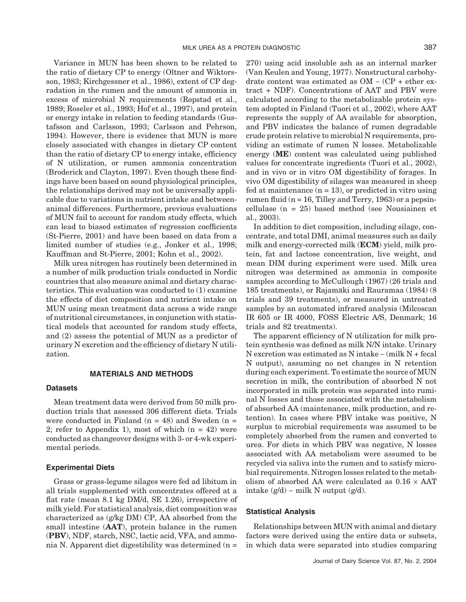Variance in MUN has been shown to be related to the ratio of dietary CP to energy (Oltner and Wiktorsson, 1983; Kirchgessner et al., 1986), extent of CP degradation in the rumen and the amount of ammonia in excess of microbial N requirements (Ropstad et al., 1989; Roseler et al., 1993; Hof et al., 1997), and protein or energy intake in relation to feeding standards (Gustafsson and Carlsson, 1993; Carlsson and Pehrson, 1994). However, there is evidence that MUN is more closely associated with changes in dietary CP content than the ratio of dietary CP to energy intake, efficiency of N utilization, or rumen ammonia concentration (Broderick and Clayton, 1997). Even though these findings have been based on sound physiological principles, the relationships derived may not be universally applicable due to variations in nutrient intake and betweenanimal differences. Furthermore, previous evaluations of MUN fail to account for random study effects, which can lead to biased estimates of regression coefficients (St-Pierre, 2001) and have been based on data from a limited number of studies (e.g., Jonker et al., 1998; Kauffman and St-Pierre, 2001; Kohn et al., 2002).

Milk urea nitrogen has routinely been determined in a number of milk production trials conducted in Nordic countries that also measure animal and dietary characteristics. This evaluation was conducted to (1) examine the effects of diet composition and nutrient intake on MUN using mean treatment data across a wide range of nutritional circumstances, in conjunction with statistical models that accounted for random study effects, and (2) assess the potential of MUN as a predictor of urinary N excretion and the efficiency of dietary N utilization.

## **MATERIALS AND METHODS**

### **Datasets**

Mean treatment data were derived from 50 milk production trials that assessed 306 different diets. Trials were conducted in Finland  $(n = 48)$  and Sweden  $(n = 16)$ 2; refer to Appendix 1), most of which  $(n = 42)$  were conducted as changeover designs with 3- or 4-wk experimental periods.

### **Experimental Diets**

Grass or grass-legume silages were fed ad libitum in all trials supplemented with concentrates offered at a flat rate (mean 8.1 kg DM/d, SE 1.26), irrespective of milk yield. For statistical analysis, diet composition was characterized as (g/kg DM) CP, AA absorbed from the small intestine (**AAT**), protein balance in the rumen (**PBV**), NDF, starch, NSC, lactic acid, VFA, and ammonia N. Apparent diet digestibility was determined (n = 270) using acid insoluble ash as an internal marker (Van Keulen and Young, 1977). Nonstructural carbohydrate content was estimated as OM − (CP + ether extract + NDF). Concentrations of AAT and PBV were calculated according to the metabolizable protein system adopted in Finland (Tuori et al., 2002), where AAT represents the supply of AA available for absorption, and PBV indicates the balance of rumen degradable crude protein relative to microbial N requirements, providing an estimate of rumen N losses. Metabolizable energy (**ME**) content was calculated using published values for concentrate ingredients (Tuori et al., 2002), and in vivo or in vitro OM digestibility of forages. In vivo OM digestibility of silages was measured in sheep fed at maintenance  $(n = 13)$ , or predicted in vitro using rumen fluid ( $n = 16$ , Tilley and Terry, 1963) or a pepsincellulase (n = 25) based method (see Nousiainen et al., 2003).

In addition to diet composition, including silage, concentrate, and total DMI, animal measures such as daily milk and energy-corrected milk (**ECM**) yield, milk protein, fat and lactose concentration, live weight, and mean DIM during experiment were used. Milk urea nitrogen was determined as ammonia in composite samples according to McCullough (1967) (26 trials and 185 treatments), or Rajamäki and Rauramaa (1984) (8 trials and 39 treatments), or measured in untreated samples by an automated infrared analysis (Milcoscan IR 605 or IR 4000, FOSS Electric A/S, Denmark; 16 trials and 82 treatments).

The apparent efficiency of N utilization for milk protein synthesis was defined as milk N/N intake. Urinary N excretion was estimated as N intake − (milk N + fecal N output), assuming no net changes in N retention during each experiment. To estimate the source of MUN secretion in milk, the contribution of absorbed N not incorporated in milk protein was separated into ruminal N losses and those associated with the metabolism of absorbed AA (maintenance, milk production, and retention). In cases where PBV intake was positive, N surplus to microbial requirements was assumed to be completely absorbed from the rumen and converted to urea. For diets in which PBV was negative, N losses associated with AA metabolism were assumed to be recycled via saliva into the rumen and to satisfy microbial requirements. Nitrogen losses related to the metabolism of absorbed AA were calculated as  $0.16 \times$ AAT intake  $(g/d)$  – milk N output  $(g/d)$ .

#### **Statistical Analysis**

Relationships between MUN with animal and dietary factors were derived using the entire data or subsets, in which data were separated into studies comparing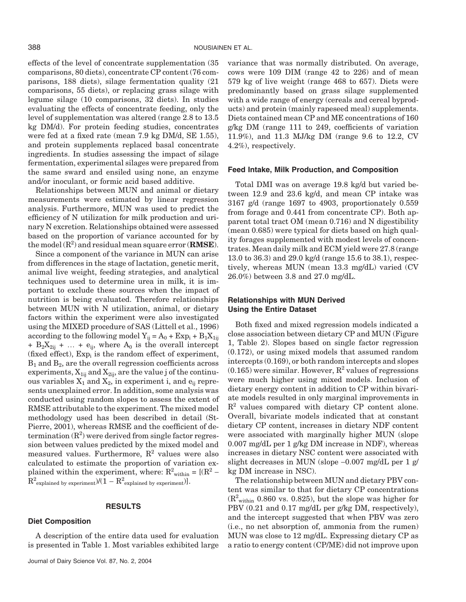effects of the level of concentrate supplementation (35 comparisons, 80 diets), concentrate CP content (76 comparisons, 188 diets), silage fermentation quality (21 comparisons, 55 diets), or replacing grass silage with legume silage (10 comparisons, 32 diets). In studies evaluating the effects of concentrate feeding, only the level of supplementation was altered (range 2.8 to 13.5 kg DM/d). For protein feeding studies, concentrates were fed at a fixed rate (mean 7.9 kg DM/d, SE 1.55), and protein supplements replaced basal concentrate ingredients. In studies assessing the impact of silage fermentation, experimental silages were prepared from the same sward and ensiled using none, an enzyme and/or inoculant, or formic acid based additive.

Relationships between MUN and animal or dietary measurements were estimated by linear regression analysis. Furthermore, MUN was used to predict the efficiency of N utilization for milk production and urinary N excretion. Relationships obtained were assessed based on the proportion of variance accounted for by the model (R<sup>2</sup> ) and residual mean square error (**RMSE**).

Since a component of the variance in MUN can arise from differences in the stage of lactation, genetic merit, animal live weight, feeding strategies, and analytical techniques used to determine urea in milk, it is important to exclude these sources when the impact of nutrition is being evaluated. Therefore relationships between MUN with N utilization, animal, or dietary factors within the experiment were also investigated using the MIXED procedure of SAS (Littell et al., 1996) according to the following model  $Y_{ii} = A_0 + Exp_i + B_1X_{1ii}$ +  $B_2X_{2ij}$  + ... +  $e_{ij}$ , where  $A_0$  is the overall intercept (fixed effect),  $Exp_i$  is the random effect of experiment,  $B_1$  and  $B_2$ , are the overall regression coefficients across experiments,  $X_{1ij}$  and  $X_{2ij}$ , are the value j of the continuous variables  $X_1$  and  $X_2$ , in experiment i, and  $e_{ii}$  represents unexplained error. In addition, some analysis was conducted using random slopes to assess the extent of RMSE attributable to the experiment. The mixed model methodology used has been described in detail (St-Pierre, 2001), whereas RMSE and the coefficient of determination  $(R^2)$  were derived from single factor regression between values predicted by the mixed model and measured values. Furthermore,  $R^2$  values were also calculated to estimate the proportion of variation explained within the experiment, where:  $R^2$ <sub>within</sub> = [( $R^2$  –  $R^2$  explained by experiment) $/(1 - R^2)$  explained by experiment).

### **RESULTS**

#### **Diet Composition**

A description of the entire data used for evaluation is presented in Table 1. Most variables exhibited large variance that was normally distributed. On average, cows were 109 DIM (range 42 to 226) and of mean 579 kg of live weight (range 468 to 657). Diets were predominantly based on grass silage supplemented with a wide range of energy (cereals and cereal byproducts) and protein (mainly rapeseed meal) supplements. Diets contained mean CP and ME concentrations of 160 g/kg DM (range 111 to 249, coefficients of variation 11.9%), and 11.3 MJ/kg DM (range 9.6 to 12.2, CV 4.2%), respectively.

#### **Feed Intake, Milk Production, and Composition**

Total DMI was on average 19.8 kg/d but varied between 12.9 and 23.6 kg/d, and mean CP intake was 3167 g/d (range 1697 to 4903, proportionately 0.559 from forage and 0.441 from concentrate CP). Both apparent total tract OM (mean 0.716) and N digestibility (mean 0.685) were typical for diets based on high quality forages supplemented with modest levels of concentrates. Mean daily milk and ECM yield were 27.8 (range 13.0 to 36.3) and 29.0 kg/d (range 15.6 to 38.1), respectively, whereas MUN (mean 13.3 mg/dL) varied (CV 26.0%) between 3.8 and 27.0 mg/dL.

# **Relationships with MUN Derived Using the Entire Dataset**

Both fixed and mixed regression models indicated a close association between dietary CP and MUN (Figure 1, Table 2). Slopes based on single factor regression (0.172), or using mixed models that assumed random intercepts (0.169), or both random intercepts and slopes  $(0.165)$  were similar. However,  $\mathbb{R}^2$  values of regressions were much higher using mixed models. Inclusion of dietary energy content in addition to CP within bivariate models resulted in only marginal improvements in  $R<sup>2</sup>$  values compared with dietary CP content alone. Overall, bivariate models indicated that at constant dietary CP content, increases in dietary NDF content were associated with marginally higher MUN (slope 0.007 mg/dL per 1 g/kg DM increase in NDF), whereas increases in dietary NSC content were associated with slight decreases in MUN (slope −0.007 mg/dL per 1 g/ kg DM increase in NSC).

The relationship between MUN and dietary PBV content was similar to that for dietary CP concentrations  $(R<sup>2</sup>$ <sub>within</sub> 0.860 vs. 0.825), but the slope was higher for PBV (0.21 and 0.17 mg/dL per g/kg DM, respectively), and the intercept suggested that when PBV was zero (i.e., no net absorption of, ammonia from the rumen) MUN was close to 12 mg/dL. Expressing dietary CP as a ratio to energy content (CP/ME) did not improve upon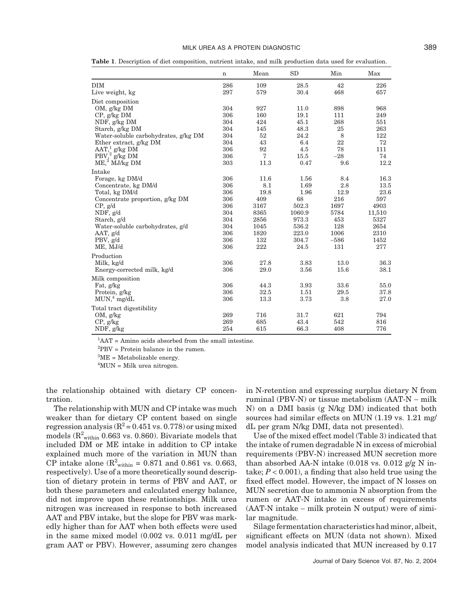### MILK UREA AS A PROTEIN DIAGNOSTIC 389

n Mean SD Min Max DIM 286 109 28.5 42 226 Live weight, kg 297 579 30.4 468 657 Diet composition OM, g/kg DM 304 927 11.0 898 968 CP, g/kg DM 306 160 19.1 111 249 NDF, g/kg DM 304 424 45.1 268 551<br>Starch, g/kg DM 304 145 48.3 25 263 Starch, g/kg DM 304 145 48.3 25 Water-soluble carbohydrates, g/kg DM  $304$  52 24.2 8 122<br>
Ether extract, g/kg DM  $304$  43 6.4 22 72 Ether extract, g/kg DM 304 43 6.4 22 72<br>AAT.<sup>1</sup> g/kg DM 306 92 4.5 78 111  $AAT$ ,<sup>1</sup> g/kg DM  $306$  92 4.5 78 111  $PBV$ ,<sup>2</sup> g/kg DM 306 7 15.5 −28 74  $M \to 3 \overline{M}$  MJ/kg DM 303 11.3 0.47 9.6 12.2 Intake Forage, kg DM/d<br>
Concentrate, kg DM/d<br>
306 11.6 1.69 2.8 13.5<br>
13.5 Concentrate, kg DM/d<br>
Total, kg DM/d<br>
Total, kg DM/d<br>
23.6<br>
23.6<br>
306<br>
306<br>
19.8<br>
1.96<br>
12.9<br>
23.6<br>
23.6 Total, kg DM/d<br>
Concentrate proportion. g/kg DM 306 409 68 216 597 Concentrate proportion, g/kg DM CP, g/d  $306$   $3167$   $502.3$   $1697$   $4903$ NDF, g/d 304 8365 1060.9 5784 11,510 Starch, g/d<br>
Water-soluble carbohydrates, g/d<br>
304 1045 536.2 128 2654 Water-soluble carbohydrates, g/d<br>
AAT  $\alpha$ /d<br>
AAT  $\alpha$ /d<br>
2310<br>
2310<br>
2310 AAT, g/d 306 1820 223.0 1006 2310 PBV, g/d 306 132 304.7 −586 1452 ME, MJ/d 306 222 24.5 131 277 Production<br>Milk, kg/d Milk, kg/d 306 27.8 3.83 13.0 36.3 Energy-corrected milk, kg/d 306 29.0 3.56 15.6 38.1 Milk composition  $\text{Fat, g/kg}$  55.0  $\text{Fat, g/kg}$  3.93  $\text{Fat, g/kg}$  55.0 Protein, g/kg 306 32.5 1.51 29.5 37.8  $MUN_{4}^{4} mg/dL$  306 13.3 3.73 3.8 27.0 Total tract digestibility OM, g/kg 269 716 31.7 621 794 CP, g/kg 269  $269$  685  $43.4$  542 816 NDF, g/kg 254 615 66.3 408 776

**Table 1**. Description of diet composition, nutrient intake, and milk production data used for evaluation.

1 AAT = Amino acids absorbed from the small intestine.

2 PBV = Protein balance in the rumen.

 ${}^{3}$ ME = Metabolizable energy.

4 MUN = Milk urea nitrogen.

the relationship obtained with dietary CP concentration.

The relationship with MUN and CP intake was much weaker than for dietary CP content based on single regression analysis ( $R^2$  = 0.451 vs. 0.778) or using mixed models ( $\mathrm{R}^2_\mathrm{within}$  0.663 vs. 0.860). Bivariate models that included DM or ME intake in addition to CP intake explained much more of the variation in MUN than CP intake alone ( $R_{\text{within}}^2 = 0.871$  and 0.861 vs. 0.663, respectively). Use of a more theoretically sound description of dietary protein in terms of PBV and AAT, or both these parameters and calculated energy balance, did not improve upon these relationships. Milk urea nitrogen was increased in response to both increased AAT and PBV intake, but the slope for PBV was markedly higher than for AAT when both effects were used in the same mixed model (0.002 vs. 0.011 mg/dL per gram AAT or PBV). However, assuming zero changes in N-retention and expressing surplus dietary N from ruminal (PBV-N) or tissue metabolism (AAT-N − milk N) on a DMI basis (g N/kg DM) indicated that both sources had similar effects on MUN (1.19 vs. 1.21 mg/ dL per gram N/kg DMI, data not presented).

Use of the mixed effect model (Table 3) indicated that the intake of rumen degradable N in excess of microbial requirements (PBV-N) increased MUN secretion more than absorbed AA-N intake  $(0.018 \text{ vs. } 0.012 \text{ g/g N in-}$ take;  $P < 0.001$ ), a finding that also held true using the fixed effect model. However, the impact of N losses on MUN secretion due to ammonia N absorption from the rumen or AAT-N intake in excess of requirements (AAT-N intake − milk protein N output) were of similar magnitude.

Silage fermentation characteristics had minor, albeit, significant effects on MUN (data not shown). Mixed model analysis indicated that MUN increased by 0.17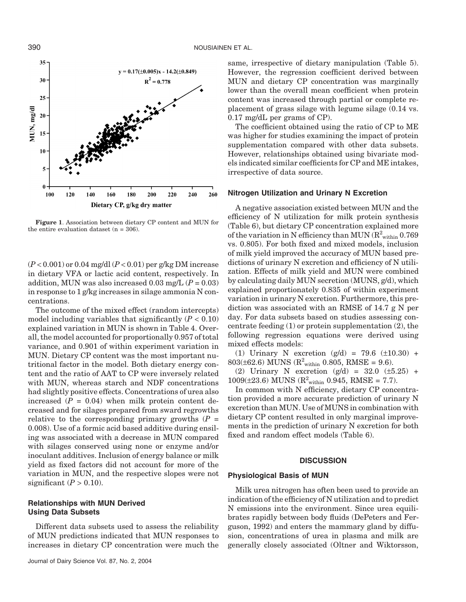

**Figure 1**. Association between dietary CP content and MUN for the entire evaluation dataset  $(n = 306)$ .

(*P* < 0.001) or 0.04 mg/dl (*P* < 0.01) per g/kg DM increase in dietary VFA or lactic acid content, respectively. In addition, MUN was also increased  $0.03 \text{ mg/L}$  ( $P = 0.03$ ) in response to 1 g/kg increases in silage ammonia N concentrations.

The outcome of the mixed effect (random intercepts) model including variables that significantly  $(P < 0.10)$ explained variation in MUN is shown in Table 4. Overall, the model accounted for proportionally 0.957 of total variance, and 0.901 of within experiment variation in MUN. Dietary CP content was the most important nutritional factor in the model. Both dietary energy content and the ratio of AAT to CP were inversely related with MUN, whereas starch and NDF concentrations had slightly positive effects. Concentrations of urea also increased  $(P = 0.04)$  when milk protein content decreased and for silages prepared from sward regrowths relative to the corresponding primary growths  $(P =$ 0.008). Use of a formic acid based additive during ensiling was associated with a decrease in MUN compared with silages conserved using none or enzyme and/or inoculant additives. Inclusion of energy balance or milk yield as fixed factors did not account for more of the variation in MUN, and the respective slopes were not significant  $(P > 0.10)$ .

# **Relationships with MUN Derived Using Data Subsets**

Different data subsets used to assess the reliability of MUN predictions indicated that MUN responses to increases in dietary CP concentration were much the

same, irrespective of dietary manipulation (Table 5). However, the regression coefficient derived between MUN and dietary CP concentration was marginally lower than the overall mean coefficient when protein content was increased through partial or complete replacement of grass silage with legume silage (0.14 vs. 0.17 mg/dL per grams of CP).

The coefficient obtained using the ratio of CP to ME was higher for studies examining the impact of protein supplementation compared with other data subsets. However, relationships obtained using bivariate models indicated similar coefficients for CP and ME intakes, irrespective of data source.

#### **Nitrogen Utilization and Urinary N Excretion**

A negative association existed between MUN and the efficiency of N utilization for milk protein synthesis (Table 6), but dietary CP concentration explained more of the variation in N efficiency than MUN ( $\mathrm{R}^2_\mathrm{within}$  0.769 vs. 0.805). For both fixed and mixed models, inclusion of milk yield improved the accuracy of MUN based predictions of urinary N excretion and efficiency of N utilization. Effects of milk yield and MUN were combined by calculating daily MUN secretion (MUNS, g/d), which explained proportionately 0.835 of within experiment variation in urinary N excretion. Furthermore, this prediction was associated with an RMSE of 14.7 g N per day. For data subsets based on studies assessing concentrate feeding  $(1)$  or protein supplementation  $(2)$ , the following regression equations were derived using mixed effects models:

(1) Urinary N excretion  $(g/d) = 79.6$  ( $\pm 10.30$ ) +  $803(\pm 62.6)$  MUNS ( $R^2$ <sub>within</sub> 0.805, RMSE = 9.6).

(2) Urinary N excretion (g/d) = 32.0 (±5.25) +  $1009(\pm 23.6)$  MUNS ( $R^2$ <sub>within</sub> 0.945, RMSE = 7.7).

In common with N efficiency, dietary CP concentration provided a more accurate prediction of urinary N excretion than MUN. Use of MUNS in combination with dietary CP content resulted in only marginal improvements in the prediction of urinary N excretion for both fixed and random effect models (Table 6).

# **DISCUSSION**

### **Physiological Basis of MUN**

Milk urea nitrogen has often been used to provide an indication of the efficiency of N utilization and to predict N emissions into the environment. Since urea equilibrates rapidly between body fluids (DePeters and Ferguson, 1992) and enters the mammary gland by diffusion, concentrations of urea in plasma and milk are generally closely associated (Oltner and Wiktorsson,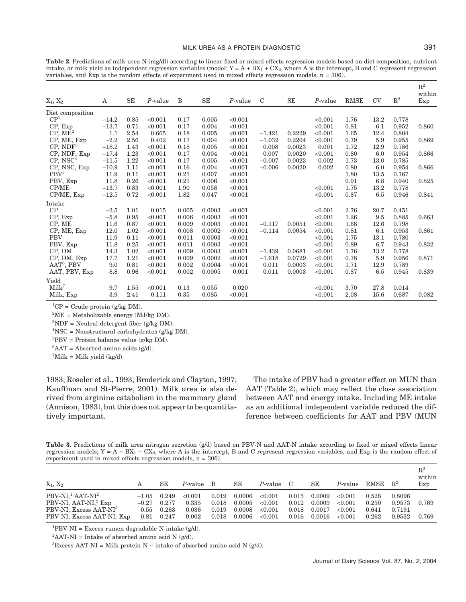**Table 2**. Predictions of milk urea N (mg/dl) according to linear fixed or mixed effects regression models based on diet composition, nutrient intake, or milk yield as independent regression variables (model:  $Y = A + BX_1 + CX_2$ , where A is the intercept, B and C represent regression variables, and Exp is the random effects of experiment used in mixed effects regression models,  $n = 306$ .

| $X_1, X_2$           | A       | <b>SE</b>  | $P$ -value | B     | <b>SE</b> | $P$ -value | $\mathcal{C}$ | <b>SE</b> | $P$ -value | <b>RMSE</b> | <b>CV</b> | $\mathbb{R}^2$ | $\mathbb{R}^2$<br>within<br>Exp |
|----------------------|---------|------------|------------|-------|-----------|------------|---------------|-----------|------------|-------------|-----------|----------------|---------------------------------|
| Diet composition     |         |            |            |       |           |            |               |           |            |             |           |                |                                 |
| $\mathrm{CP}^1$      | $-14.2$ | 0.85       | < 0.001    | 0.17  | 0.005     | < 0.001    |               |           | < 0.001    | 1.76        | 13.2      | 0.778          |                                 |
| CP, Exp              | $-13.7$ | 0.71       | < 0.001    | 0.17  | 0.004     | < 0.001    |               |           | < 0.001    | 0.81        | 6.1       | 0.952          | 0.860                           |
| $CP, ME^2$           | 1.1     | 2.54       | 0.665      | 0.18  | 0.005     | < 0.001    | $-1.421$      | 0.2229    | < 0.001    | 1.65        | 12.4      | 0.804          |                                 |
| CP, ME, Exp          | $-2.2$  | 2.56       | 0.402      | 0.17  | 0.004     | < 0.001    | $-1.032$      | 0.2204    | < 0.001    | 0.79        | 5.9       | 0.955          | 0.869                           |
| $CP$ , ND $F3$       | $-18.2$ | 1.43       | < 0.001    | 0.18  | 0.005     | < 0.001    | 0.008         | 0.0023    | 0.001      | 1.72        | 12.9      | 0.786          |                                 |
| CP, NDF, Exp         | $-17.4$ | 1.23       | < 0.001    | 0.17  | 0.004     | < 0.001    | 0.007         | 0.0020    | < 0.001    | 0.80        | 6.0       | 0.954          | 0.866                           |
| CP, NSC <sup>4</sup> | $-11.5$ | 1.22       | < 0.001    | 0.17  | 0.005     | < 0.001    | $-0.007$      | 0.0023    | 0.002      | 1.73        | 13.0      | 0.785          |                                 |
| CP, NSC, Exp         | $-10.9$ | 1.11       | < 0.001    | 0.16  | 0.004     | < 0.001    | $-0.006$      | 0.0020    | 0.002      | 0.80        | 6.0       | 0.954          | 0.866                           |
| PBV <sup>5</sup>     | 11.9    | 0.11       | < 0.001    | 0.21  | 0.007     | < 0.001    |               |           |            | 1.80        | 13.5      | 0.767          |                                 |
| PBV, Exp             | 11.8    | 0.26       | < 0.001    | 0.21  | 0.006     | < 0.001    |               |           |            | 0.91        | 6.8       | 0.940          | 0.825                           |
| CP/ME                | $-13.7$ | 0.83       | < 0.001    | 1.90  | 0.058     | < 0.001    |               |           | < 0.001    | 1.75        | 13.2      | 0.778          |                                 |
| CP/ME, Exp           | $-12.5$ | 0.72       | < 0.001    | 1.82  | 0.047     | < 0.001    |               |           | < 0.001    | 0.87        | 6.5       | 0.946          | 0.841                           |
| Intake               |         |            |            |       |           |            |               |           |            |             |           |                |                                 |
| CP                   | $-2.5$  | 1.01       | 0.015      | 0.005 | 0.0003    | < 0.001    |               |           | < 0.001    | 2.76        | 20.7      | 0.451          |                                 |
| CP, Exp              | $-5.8$  | 0.95       | < 0.001    | 0.006 | 0.0003    | < 0.001    |               |           | < 0.001    | 1.26        | 9.5       | 0.885          | 0.663                           |
| CP, ME               | 11.6    | 0.87       | < 0.001    | 0.009 | 0.0003    | < 0.001    | $-0.117$      | 0.0051    | < 0.001    | 1.68        | 12.6      | 0.798          |                                 |
| CP, ME, Exp          | 12.0    | 1.02       | < 0.001    | 0.008 | 0.0002    | < 0.001    | $-0.114$      | 0.0054    | < 0.001    | 0.81        | 6.1       | 0.953          | 0.861                           |
| <b>PBV</b>           | 11.9    | 0.11       | < 0.001    | 0.011 | 0.0003    | < 0.001    |               |           | < 0.001    | 1.75        | 13.1      | 0.780          |                                 |
| PBV, Exp             | 11.8    | 0.25       | < 0.001    | 0.011 | 0.0003    | < 0.001    |               |           | < 0.001    | 0.89        | 6.7       | 0.943          | 0.832                           |
| CP, DM               | 14.3    | 1.02       | < 0.001    | 0.009 | 0.0003    | < 0.001    | $-1.439$      | 0.0681    | < 0.001    | 1.76        | 13.2      | 0.778          |                                 |
| CP, DM, Exp          | 17.7    | 1.21       | < 0.001    | 0.009 | 0.0002    | < 0.001    | $-1.618$      | 0.0729    | < 0.001    | 0.78        | 5.9       | 0.956          | 0.871                           |
| $AAT6$ , PBV         | 9.0     | 0.81       | < 0.001    | 0.002 | 0.0004    | < 0.001    | 0.011         | 0.0003    | < 0.001    | 1.71        | 12.9      | 0.789          |                                 |
| AAT, PBV, Exp        | 8.8     | $\rm 0.96$ | < 0.001    | 0.002 | 0.0005    | 0.001      | 0.011         | 0.0003    | < 0.001    | 0.87        | 6.5       | 0.945          | 0.839                           |
| Yield                |         |            |            |       |           |            |               |           |            |             |           |                |                                 |
| Milk <sup>7</sup>    | 9.7     | 1.55       | < 0.001    | 0.13  | 0.055     | 0.020      |               |           | < 0.001    | 3.70        | 27.8      | 0.014          |                                 |
| Milk, Exp            | 3.9     | 2.41       | 0.111      | 0.35  | 0.085     | < 0.001    |               |           | < 0.001    | 2.08        | 15.6      | 0.687          | 0.082                           |

 ${}^{1}CP$  = Crude protein (g/kg DM).

 ${}^{2}$ ME = Metabolizable energy (MJ/kg DM).

 ${}^{3}NDF$  = Neutral detergent fiber (g/kg DM).

4 NSC = Nonstructural carbohydrates (g/kg DM).

 ${}^{5}$ PBV = Protein balance value (g/kg DM).

 ${}^{6}$ AAT = Absorbed amino acids (g/d).

 $^7$ Milk = Milk yield (kg/d).

1983; Roseler et al., 1993; Broderick and Clayton, 1997; Kauffman and St-Pierre, 2001). Milk urea is also derived from arginine catabolism in the mammary gland (Annison, 1983), but this does not appear to be quantitatively important.

The intake of PBV had a greater effect on MUN than AAT (Table 2), which may reflect the close association between AAT and energy intake. Including ME intake as an additional independent variable reduced the difference between coefficients for AAT and PBV (MUN

**Table 3**. Predictions of milk urea nitrogen secretion (g/d) based on PBV-N and AAT-N intake according to fixed or mixed effects linear regression models;  $Y = A + BX_1 + CX_2$ , where A is the intercept, B and C represent regression variables, and Exp is the random effect of experiment used in mixed effects regression models, n = 306).

| $X_1, X_2$                         |         | SE    | P-value B |       | SЕ     | P-value C |       | SЕ     | P-value | RMSE  | $R^2$  | $\mathrm{R}^2$<br>within<br>Exp |
|------------------------------------|---------|-------|-----------|-------|--------|-----------|-------|--------|---------|-------|--------|---------------------------------|
| PBV-NI, $1$ AAT-NI <sup>2</sup>    | $-1.05$ | 0.249 | < 0.001   | 0.019 | 0.0006 | < 0.001   | 0.015 | 0.0009 | < 0.001 | 0.528 | 0.8096 |                                 |
| PBV-NI, AAT-NI, <sup>2</sup> Exp   | $-0.27$ | 0.277 | 0.335     | 0.018 | 0.0005 | < 0.001   | 0.012 | 0.0009 | < 0.001 | 0.250 | 0.9573 | 0.769                           |
| PBV-NI, Excess AAT-NI <sup>3</sup> | 0.55    | 0.263 | 0.036     | 0.019 | 0.0008 | < 0.001   | 0.018 | 0.0017 | < 0.001 | 0.641 | 0.7191 |                                 |
| PBV-NI, Excess AAT-NI, Exp         | 0.81    | 0.247 | 0.002     | 0.018 | 0.0006 | < 0.001   | 0.016 | 0.0016 | < 0.001 | 0.262 | 0.9532 | 0.769                           |

 ${}^{1}$ PBV-NI = Excess rumen degradable N intake (g/d).

 ${}^{2}$ AAT-NI = Intake of absorbed amino acid N (g/d).

<sup>3</sup>Excess AAT-NI = Milk protein N – intake of absorbed amino acid N (g/d).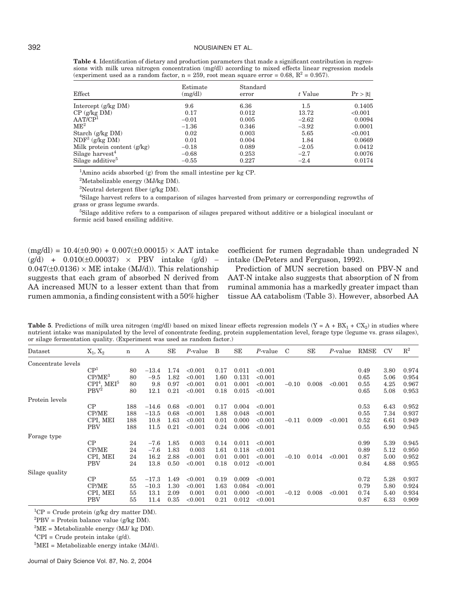#### 392 NOUSIAINEN ET AL.

**Table 4**. Identification of dietary and production parameters that made a significant contribution in regressions with milk urea nitrogen concentration (mg/dl) according to mixed effects linear regression models (experiment used as a random factor,  $n = 259$ , root mean square error = 0.68,  $R^2 = 0.957$ ).

| Effect                        | Estimate<br>(mg/dl) | Standard<br>error | t Value | Pr >  t |
|-------------------------------|---------------------|-------------------|---------|---------|
| Intercept $(g/kg \text{ DM})$ | 9.6                 | 6.36              | $1.5\,$ | 0.1405  |
| $CP$ (g/kg DM)                | 0.17                | 0.012             | 13.72   | < 0.001 |
| AAT/CP <sup>1</sup>           | $-0.01$             | 0.005             | $-2.62$ | 0.0094  |
| ME <sup>2</sup>               | $-1.36$             | 0.346             | $-3.92$ | 0.0001  |
| Starch $(g/kg DM)$            | 0.02                | 0.003             | 5.65    | < 0.001 |
| $NDF3$ (g/kg DM)              | 0.01                | 0.004             | 1.84    | 0.0669  |
| Milk protein content $(g/kg)$ | $-0.18$             | 0.089             | $-2.05$ | 0.0412  |
| Silage harvest <sup>4</sup>   | $-0.68$             | 0.253             | $-2.7$  | 0.0076  |
| Silage additive <sup>5</sup>  | $-0.55$             | 0.227             | $-2.4$  | 0.0174  |

1 Amino acids absorbed (g) from the small intestine per kg CP.

<sup>2</sup>Metabolizable energy (MJ/kg DM).

3 Neutral detergent fiber (g/kg DM).

4 Silage harvest refers to a comparison of silages harvested from primary or corresponding regrowths of grass or grass legume swards.

5 Silage additive refers to a comparison of silages prepared without additive or a biological inoculant or formic acid based ensiling additive.

 $(mg/dl) = 10.4(\pm 0.90) + 0.007(\pm 0.00015) \times AAT$  intake  $(g/d)$  + 0.010(±0.00037) × PBV intake  $(g/d)$  –  $0.047(\pm 0.0136) \times ME$  intake (MJ/d)). This relationship suggests that each gram of absorbed N derived from AA increased MUN to a lesser extent than that from rumen ammonia, a finding consistent with a 50% higher

coefficient for rumen degradable than undegraded N intake (DePeters and Ferguson, 1992).

Prediction of MUN secretion based on PBV-N and AAT-N intake also suggests that absorption of N from ruminal ammonia has a markedly greater impact than tissue AA catabolism (Table 3). However, absorbed AA

**Table 5**. Predictions of milk urea nitrogen (mg/dl) based on mixed linear effects regression models  $(Y = A + BX_1 + CX_2)$  in studies where nutrient intake was manipulated by the level of concentrate feeding, protein supplementation level, forage type (legume vs. grass silages), or silage fermentation quality. (Experiment was used as random factor.)

| Dataset            | $X_1, X_2$                  | $\mathbf n$ | A       | SE   | P-value | B    | SE    | P-value | C       | SE    | $P$ -value | RMSE | <b>CV</b> | $\mathbb{R}^2$ |
|--------------------|-----------------------------|-------------|---------|------|---------|------|-------|---------|---------|-------|------------|------|-----------|----------------|
| Concentrate levels |                             |             |         |      |         |      |       |         |         |       |            |      |           |                |
|                    | $\mathrm{CP}^1$             | 80          | $-13.4$ | 1.74 | < 0.001 | 0.17 | 0.011 | < 0.001 |         |       |            | 0.49 | 3.80      | 0.974          |
|                    | $CP/ME^3$                   | 80          | $-9.5$  | 1.82 | < 0.001 | 1.60 | 0.131 | < 0.001 |         |       |            | 0.65 | 5.06      | 0.954          |
|                    | $\rm{CPI^4}$ , $\rm{MEI^5}$ | 80          | 9.8     | 0.97 | < 0.001 | 0.01 | 0.001 | < 0.001 | $-0.10$ | 0.008 | < 0.001    | 0.55 | 4.25      | 0.967          |
|                    | PBV <sup>2</sup>            | 80          | 12.1    | 0.21 | < 0.001 | 0.18 | 0.015 | < 0.001 |         |       |            | 0.65 | 5.08      | 0.953          |
| Protein levels     |                             |             |         |      |         |      |       |         |         |       |            |      |           |                |
|                    | CP                          | 188         | $-14.6$ | 0.68 | < 0.001 | 0.17 | 0.004 | < 0.001 |         |       |            | 0.53 | 6.43      | 0.952          |
|                    | CP/ME                       | 188         | $-13.5$ | 0.68 | < 0.001 | 1.88 | 0.048 | < 0.001 |         |       |            | 0.55 | 7.34      | 0.937          |
|                    | CPI, MEI                    | 188         | 10.8    | 1.63 | < 0.001 | 0.01 | 0.000 | < 0.001 | $-0.11$ | 0.009 | < 0.001    | 0.52 | 6.61      | 0.949          |
|                    | <b>PBV</b>                  | 188         | 11.5    | 0.21 | < 0.001 | 0.24 | 0.006 | < 0.001 |         |       |            | 0.55 | 6.90      | 0.945          |
| Forage type        |                             |             |         |      |         |      |       |         |         |       |            |      |           |                |
|                    | CP                          | 24          | $-7.6$  | 1.85 | 0.003   | 0.14 | 0.011 | < 0.001 |         |       |            | 0.99 | 5.39      | 0.945          |
|                    | CP/ME                       | 24          | $-7.6$  | 1.83 | 0.003   | 1.61 | 0.118 | < 0.001 |         |       |            | 0.89 | 5.12      | 0.950          |
|                    | CPI, MEI                    | 24          | 16.2    | 2.88 | < 0.001 | 0.01 | 0.001 | < 0.001 | $-0.10$ | 0.014 | < 0.001    | 0.87 | 5.00      | 0.952          |
|                    | <b>PBV</b>                  | 24          | 13.8    | 0.50 | < 0.001 | 0.18 | 0.012 | < 0.001 |         |       |            | 0.84 | 4.88      | 0.955          |
| Silage quality     |                             |             |         |      |         |      |       |         |         |       |            |      |           |                |
|                    | CP                          | 55          | $-17.3$ | 1.49 | < 0.001 | 0.19 | 0.009 | < 0.001 |         |       |            | 0.72 | 5.28      | 0.937          |
|                    | CP/ME                       | 55          | $-10.3$ | 1.30 | < 0.001 | 1.63 | 0.084 | < 0.001 |         |       |            | 0.79 | 5.80      | 0.924          |
|                    | CPI, MEI                    | 55          | 13.1    | 2.09 | 0.001   | 0.01 | 0.000 | < 0.001 | $-0.12$ | 0.008 | < 0.001    | 0.74 | 5.40      | 0.934          |
|                    | <b>PBV</b>                  | 55          | 11.4    | 0.35 | < 0.001 | 0.21 | 0.012 | < 0.001 |         |       |            | 0.87 | 6.33      | 0.909          |

 ${}^{1}CP$  = Crude protein (g/kg dry matter DM).

 ${}^{2}$ PBV = Protein balance value (g/kg DM).

 ${}^{3}$ ME = Metabolizable energy (MJ/ kg DM).

 ${}^{5}\text{MEI}$  = Metabolizable energy intake (MJ/d).

Journal of Dairy Science Vol. 87, No. 2, 2004

 ${}^{4}$ CPI = Crude protein intake (g/d).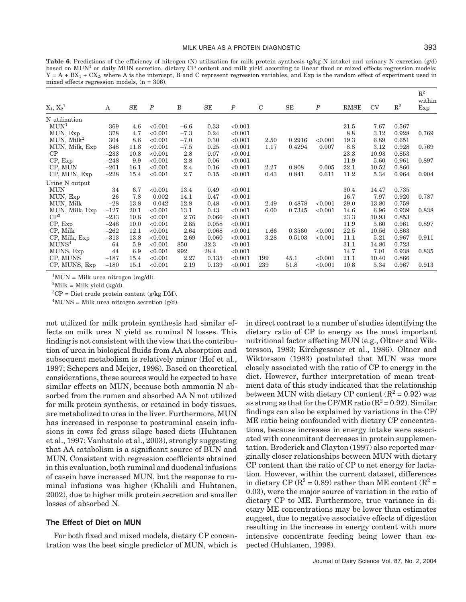$\mathbf{R}^{9}$ 

Table 6. Predictions of the efficiency of nitrogen (N) utilization for milk protein synthesis (g/kg N intake) and urinary N excretion (g/d) based on MUN<sup>1</sup> or daily MUN secretion, dietary CP content and milk yield according to linear fixed or mixed effects regression models;  $Y = A + BX_1 + CX_2$ , where A is the intercept, B and C represent regression variables, and Exp is the random effect of experiment used in mixed effects regression models, (n = 306).

| $\mathrm{X}_1,\,\mathrm{X}_2{}^1$ | Α      | SE   | $\boldsymbol{P}$ | B      | SE    | $\boldsymbol{P}$ | $\mathcal{C}$ | SE     | $\boldsymbol{P}$ | <b>RMSE</b> | <b>CV</b> | $\mathbb{R}^2$ | $\mathbf{R}^{\mu}$<br>within<br>Exp |
|-----------------------------------|--------|------|------------------|--------|-------|------------------|---------------|--------|------------------|-------------|-----------|----------------|-------------------------------------|
| N utilization                     |        |      |                  |        |       |                  |               |        |                  |             |           |                |                                     |
| MUN <sup>1</sup>                  | 369    | 4.6  | < 0.001          | $-6.6$ | 0.33  | < 0.001          |               |        |                  | 21.5        | 7.67      | 0.567          |                                     |
| MUN, Exp                          | 378    | 4.7  | < 0.001          | $-7.3$ | 0.24  | < 0.001          |               |        |                  | 8.8         | 3.12      | 0.928          | 0.769                               |
| MUN, Milk <sup>2</sup>            | 304    | 8.6  | < 0.001          | $-7.0$ | 0.30  | < 0.001          | 2.50          | 0.2916 | < 0.001          | 19.3        | 6.89      | 0.651          |                                     |
| MUN, Milk, Exp                    | 348    | 11.8 | < 0.001          | $-7.5$ | 0.25  | < 0.001          | 1.17          | 0.4294 | 0.007            | 8.8         | 3.12      | 0.928          | 0.769                               |
| CP                                | $-233$ | 10.8 | < 0.001          | 2.8    | 0.07  | < 0.001          |               |        |                  | 23.3        | 10.93     | 0.853          |                                     |
| CP, Exp                           | $-248$ | 9.9  | < 0.001          | 2.8    | 0.06  | < 0.001          |               |        |                  | 11.9        | 5.60      | 0.961          | 0.897                               |
| CP, MUN                           | $-201$ | 16.1 | < 0.001          | 2.4    | 0.16  | < 0.001          | 2.27          | 0.808  | 0.005            | 22.1        | 10.52     | 0.860          |                                     |
| CP, MUN, Exp                      | $-228$ | 15.4 | < 0.001          | 2.7    | 0.15  | < 0.001          | 0.43          | 0.841  | 0.611            | 11.2        | 5.34      | 0.964          | 0.904                               |
| Urine N output                    |        |      |                  |        |       |                  |               |        |                  |             |           |                |                                     |
| MUN                               | 34     | 6.7  | < 0.001          | 13.4   | 0.49  | < 0.001          |               |        |                  | 30.4        | 14.47     | 0.735          |                                     |
| MUN, Exp                          | 26     | 7.8  | 0.002            | 14.1   | 0.47  | < 0.001          |               |        |                  | 16.7        | 7.97      | 0.920          | 0.787                               |
| MUN, Milk                         | $-28$  | 13.8 | 0.042            | 12.8   | 0.48  | < 0.001          | 2.49          | 0.4878 | < 0.001          | 29.0        | 13.80     | 0.759          |                                     |
| MUN, Milk, Exp                    | $-127$ | 20.1 | < 0.001          | 13.1   | 0.43  | < 0.001          | 6.00          | 0.7345 | < 0.001          | 14.6        | 6.96      | 0.939          | 0.838                               |
| CP <sup>3</sup>                   | $-233$ | 10.8 | < 0.001          | 2.76   | 0.066 | < 0.001          |               |        |                  | 23.3        | 10.93     | 0.853          |                                     |
| $CP$ , $Exp$                      | $-248$ | 10.0 | < 0.001          | 2.85   | 0.058 | < 0.001          |               |        |                  | 11.9        | 5.60      | 0.961          | 0.897                               |
| CP, Milk                          | $-262$ | 12.1 | < 0.001          | 2.64   | 0.068 | < 0.001          | 1.66          | 0.3560 | < 0.001          | 22.5        | 10.56     | 0.863          |                                     |
| CP, Milk, Exp                     | $-313$ | 13.8 | < 0.001          | 2.69   | 0.060 | < 0.001          | 3.28          | 0.5103 | < 0.001          | 11.1        | 5.21      | 0.967          | 0.911                               |
| MUNS <sup>4</sup>                 | 64     | 5.9  | < 0.001          | 850    | 32.3  | < 0.001          |               |        |                  | 31.1        | 14.80     | 0.723          |                                     |
| MUNS, Exp                         | 44     | 6.9  | < 0.001          | 992    | 28.4  | < 0.001          |               |        |                  | 14.7        | 7.01      | 0.938          | 0.835                               |
| CP, MUNS                          | $-187$ | 15.4 | < 0.001          | 2.27   | 0.135 | < 0.001          | 199           | 45.1   | < 0.001          | 21.1        | 10.40     | 0.866          |                                     |
| CP, MUNS, Exp                     | $-180$ | 15.1 | < 0.001          | 2.19   | 0.139 | < 0.001          | 239           | 51.8   | < 0.001          | 10.8        | 5.34      | 0.967          | 0.913                               |

 ${}^{1}$ MUN = Milk urea nitrogen (mg/dl).

 ${}^{2}$ Milk = Milk yield (kg/d).

3 CP = Diet crude protein content (g/kg DM).

 $4$ MUNS = Milk urea nitrogen secretion (g/d).

not utilized for milk protein synthesis had similar effects on milk urea N yield as ruminal N losses. This finding is not consistent with the view that the contribution of urea in biological fluids from AA absorption and subsequent metabolism is relatively minor (Hof et al., 1997; Schepers and Meijer, 1998). Based on theoretical considerations, these sources would be expected to have similar effects on MUN, because both ammonia N absorbed from the rumen and absorbed AA N not utilized for milk protein synthesis, or retained in body tissues, are metabolized to urea in the liver. Furthermore, MUN has increased in response to postruminal casein infusions in cows fed grass silage based diets (Huhtanen et al., 1997; Vanhatalo et al., 2003), strongly suggesting that AA catabolism is a significant source of BUN and MUN. Consistent with regression coefficients obtained in this evaluation, both ruminal and duodenal infusions of casein have increased MUN, but the response to ruminal infusions was higher (Khalili and Huhtanen, 2002), due to higher milk protein secretion and smaller losses of absorbed N.

### **The Effect of Diet on MUN**

For both fixed and mixed models, dietary CP concentration was the best single predictor of MUN, which is in direct contrast to a number of studies identifying the dietary ratio of CP to energy as the most important nutritional factor affecting MUN (e.g., Oltner and Wiktorsson, 1983; Kirchgessner et al., 1986). Oltner and Wiktorsson (1983) postulated that MUN was more closely associated with the ratio of CP to energy in the diet. However, further interpretation of mean treatment data of this study indicated that the relationship between MUN with dietary CP content  $(R^2 = 0.92)$  was as strong as that for the CP/ME ratio  $(R^2 = 0.92)$ . Similar findings can also be explained by variations in the CP/ ME ratio being confounded with dietary CP concentrations, because increases in energy intake were associated with concomitant decreases in protein supplementation. Broderick and Clayton (1997) also reported marginally closer relationships between MUN with dietary CP content than the ratio of CP to net energy for lactation. However, within the current dataset, differences in dietary CP ( $\mathbb{R}^2$  = 0.89) rather than ME content ( $\mathbb{R}^2$  = 0.03), were the major source of variation in the ratio of dietary CP to ME. Furthermore, true variance in dietary ME concentrations may be lower than estimates suggest, due to negative associative effects of digestion resulting in the increase in energy content with more intensive concentrate feeding being lower than expected (Huhtanen, 1998).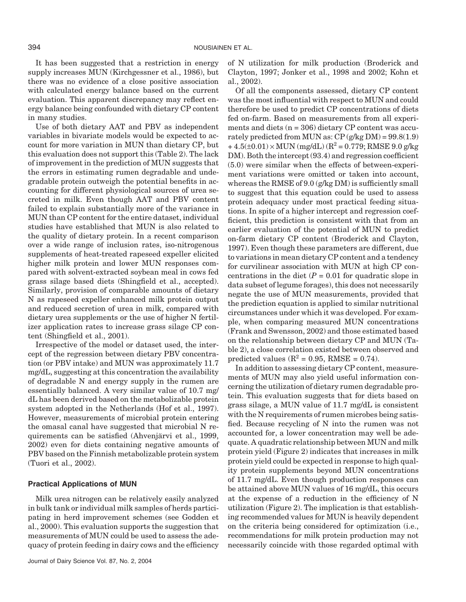It has been suggested that a restriction in energy supply increases MUN (Kirchgessner et al., 1986), but there was no evidence of a close positive association with calculated energy balance based on the current evaluation. This apparent discrepancy may reflect energy balance being confounded with dietary CP content in many studies.

Use of both dietary AAT and PBV as independent variables in bivariate models would be expected to account for more variation in MUN than dietary CP, but this evaluation does not support this (Table 2). The lack of improvement in the prediction of MUN suggests that the errors in estimating rumen degradable and undegradable protein outweigh the potential benefits in accounting for different physiological sources of urea secreted in milk. Even though AAT and PBV content failed to explain substantially more of the variance in MUN than CP content for the entire dataset, individual studies have established that MUN is also related to the quality of dietary protein. In a recent comparison over a wide range of inclusion rates, iso-nitrogenous supplements of heat-treated rapeseed expeller elicited higher milk protein and lower MUN responses compared with solvent-extracted soybean meal in cows fed grass silage based diets (Shingfield et al., accepted). Similarly, provision of comparable amounts of dietary N as rapeseed expeller enhanced milk protein output and reduced secretion of urea in milk, compared with dietary urea supplements or the use of higher N fertilizer application rates to increase grass silage CP content (Shingfield et al., 2001).

Irrespective of the model or dataset used, the intercept of the regression between dietary PBV concentration (or PBV intake) and MUN was approximately 11.7 mg/dL, suggesting at this concentration the availability of degradable N and energy supply in the rumen are essentially balanced. A very similar value of 10.7 mg/ dL has been derived based on the metabolizable protein system adopted in the Netherlands (Hof et al., 1997). However, measurements of microbial protein entering the omasal canal have suggested that microbial N requirements can be satisfied (Ahvenjärvi et al., 1999, 2002) even for diets containing negative amounts of PBV based on the Finnish metabolizable protein system (Tuori et al., 2002).

### **Practical Applications of MUN**

Milk urea nitrogen can be relatively easily analyzed in bulk tank or individual milk samples of herds participating in herd improvement schemes (see Godden et al., 2000). This evaluation supports the suggestion that measurements of MUN could be used to assess the adequacy of protein feeding in dairy cows and the efficiency of N utilization for milk production (Broderick and Clayton, 1997; Jonker et al., 1998 and 2002; Kohn et al., 2002).

Of all the components assessed, dietary CP content was the most influential with respect to MUN and could therefore be used to predict CP concentrations of diets fed on-farm. Based on measurements from all experiments and diets  $(n = 306)$  dietary CP content was accurately predicted from MUN as:  $CP$  (g/kg DM) =  $99.8(1.9)$  $+4.5(\pm 0.01) \times \text{MUN (mg/dL)} (R^2 = 0.779; \text{RMSE } 9.0 \text{ g/kg}$ DM). Both the intercept (93.4) and regression coefficient (5.0) were similar when the effects of between-experiment variations were omitted or taken into account, whereas the RMSE of 9.0 (g/kg DM) is sufficiently small to suggest that this equation could be used to assess protein adequacy under most practical feeding situations. In spite of a higher intercept and regression coefficient, this prediction is consistent with that from an earlier evaluation of the potential of MUN to predict on-farm dietary CP content (Broderick and Clayton, 1997). Even though these parameters are different, due to variations in mean dietary CP content and a tendency for curvilinear association with MUN at high CP concentrations in the diet  $(P = 0.01$  for quadratic slope in data subset of legume forages), this does not necessarily negate the use of MUN measurements, provided that the prediction equation is applied to similar nutritional circumstances under which it was developed. For example, when comparing measured MUN concentrations (Frank and Swensson, 2002) and those estimated based on the relationship between dietary CP and MUN (Table 2), a close correlation existed between observed and predicted values ( $\mathbb{R}^2$  = 0.95, RMSE = 0.74).

In addition to assessing dietary CP content, measurements of MUN may also yield useful information concerning the utilization of dietary rumen degradable protein. This evaluation suggests that for diets based on grass silage, a MUN value of 11.7 mg/dL is consistent with the N requirements of rumen microbes being satisfied. Because recycling of N into the rumen was not accounted for, a lower concentration may well be adequate. A quadratic relationship between MUN and milk protein yield (Figure 2) indicates that increases in milk protein yield could be expected in response to high quality protein supplements beyond MUN concentrations of 11.7 mg/dL. Even though production responses can be attained above MUN values of 16 mg/dL, this occurs at the expense of a reduction in the efficiency of N utilization (Figure 2). The implication is that establishing recommended values for MUN is heavily dependent on the criteria being considered for optimization (i.e., recommendations for milk protein production may not necessarily coincide with those regarded optimal with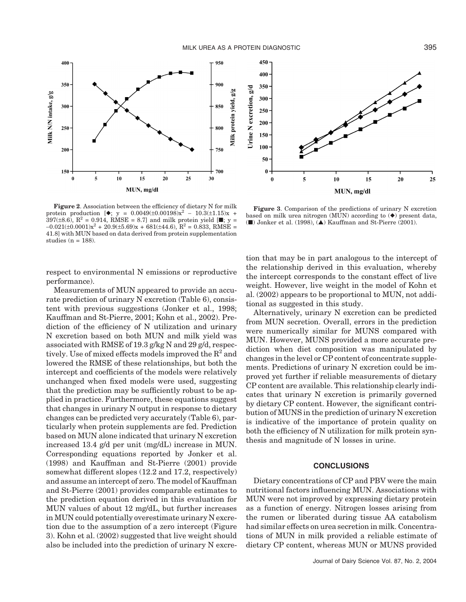MILK UREA AS A PROTEIN DIAGNOSTIC **395** 



**Figure 2**. Association between the efficiency of dietary N for milk protein production  $[\diamond, y = 0.0049(\pm 0.00198)x^2 - 10.3(\pm 1.15)x +$  $397(\pm 8.6)$ ,  $R^2 = 0.914$ , RMSE = 8.7] and milk protein yield [ $\blacksquare$ ; y =  $-0.021(\pm 0.0001)x^2 + 20.9(\pm 5.69)x + 681(\pm 44.6), R^2 = 0.833, RMSE =$ 41.8] with MUN based on data derived from protein supplementation studies ( $n = 188$ ).

respect to environmental N emissions or reproductive performance).

Measurements of MUN appeared to provide an accurate prediction of urinary N excretion (Table 6), consistent with previous suggestions (Jonker et al., 1998; Kauffman and St-Pierre, 2001; Kohn et al., 2002). Prediction of the efficiency of N utilization and urinary N excretion based on both MUN and milk yield was associated with RMSE of 19.3 g/kg N and 29 g/d, respectively. Use of mixed effects models improved the  $R^2$  and lowered the RMSE of these relationships, but both the intercept and coefficients of the models were relatively unchanged when fixed models were used, suggesting that the prediction may be sufficiently robust to be applied in practice. Furthermore, these equations suggest that changes in urinary N output in response to dietary changes can be predicted very accurately (Table 6), particularly when protein supplements are fed. Prediction based on MUN alone indicated that urinary N excretion increased 13.4 g/d per unit (mg/dL) increase in MUN. Corresponding equations reported by Jonker et al. (1998) and Kauffman and St-Pierre (2001) provide somewhat different slopes (12.2 and 17.2, respectively) and assume an intercept of zero. The model of Kauffman and St-Pierre (2001) provides comparable estimates to the prediction equation derived in this evaluation for MUN values of about 12 mg/dL, but further increases in MUN could potentially overestimate urinary N excretion due to the assumption of a zero intercept (Figure 3). Kohn et al. (2002) suggested that live weight should also be included into the prediction of urinary N excre-



**Figure 3**. Comparison of the predictions of urinary N excretion based on milk urea nitrogen (MUN) according to  $(\blacklozenge)$  present data, ( $\blacksquare$ ) Jonker et al. (1998),  $(\blacktriangle)$  Kauffman and St-Pierre (2001).

tion that may be in part analogous to the intercept of the relationship derived in this evaluation, whereby the intercept corresponds to the constant effect of live weight. However, live weight in the model of Kohn et al. (2002) appears to be proportional to MUN, not additional as suggested in this study.

Alternatively, urinary N excretion can be predicted from MUN secretion. Overall, errors in the prediction were numerically similar for MUNS compared with MUN. However, MUNS provided a more accurate prediction when diet composition was manipulated by changes in the level or CP content of concentrate supplements. Predictions of urinary N excretion could be improved yet further if reliable measurements of dietary CP content are available. This relationship clearly indicates that urinary N excretion is primarily governed by dietary CP content. However, the significant contribution of MUNS in the prediction of urinary N excretion is indicative of the importance of protein quality on both the efficiency of N utilization for milk protein synthesis and magnitude of N losses in urine.

### **CONCLUSIONS**

Dietary concentrations of CP and PBV were the main nutritional factors influencing MUN. Associations with MUN were not improved by expressing dietary protein as a function of energy. Nitrogen losses arising from the rumen or liberated during tissue AA catabolism had similar effects on urea secretion in milk. Concentrations of MUN in milk provided a reliable estimate of dietary CP content, whereas MUN or MUNS provided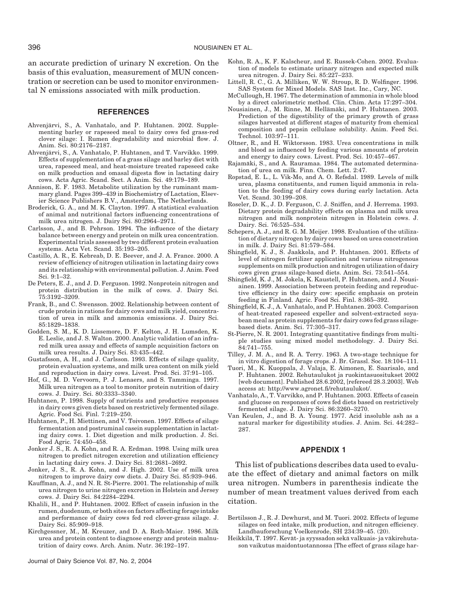an accurate prediction of urinary N excretion. On the basis of this evaluation, measurement of MUN concentration or secretion can be used to monitor environmental N emissions associated with milk production.

#### **REFERENCES**

- Ahvenjärvi, S., A. Vanhatalo, and P. Huhtanen. 2002. Supplementing barley or rapeseed meal to dairy cows fed grass-red clover silage: I. Rumen degradability and microbial flow. J. Anim. Sci. 80:2176–2187.
- Ahvenjärvi, S., A. Vanhatalo, P. Huhtanen, and T. Varvikko. 1999. Effects of supplementation of a grass silage and barley diet with urea, rapeseed meal, and heat-moisture treated rapeseed cake on milk production and omasal digesta flow in lactating dairy cows. Acta Agric. Scand. Sect. A Anim. Sci. 49:179–189.
- Annison, E. F. 1983. Metabolite utilization by the ruminant mammary gland. Pages 399–439 in Biochemistry of Lactation, Elsevier Science Publishers B.V., Amsterdam, The Netherlands.
- Broderick, G. A., and M. K. Clayton. 1997. A statistical evaluation of animal and nutritional factors influencing concentrations of milk urea nitrogen. J. Dairy Sci. 80:2964–2971.
- Carlsson, J., and B. Pehrson. 1994. The influence of the dietary balance between energy and protein on milk urea concentration. Experimental trials assessed by two different protein evaluation systems. Acta Vet. Scand. 35:193–205.
- Castillo, A. R., E. Kebreab, D. E. Beever, and J. A. France. 2000. A review of efficiency of nitrogen utilisation in lactating dairy cows and its relationship with environmental pollution. J. Anim. Feed Sci. 9:1–32.
- De Peters, E. J., and J. D. Ferguson. 1992. Nonprotein nitrogen and protein distribution in the milk of cows. J. Dairy Sci. 75:3192–3209.
- Frank, B., and C. Swensson. 2002. Relationship between content of crude protein in rations for dairy cows and milk yield, concentration of urea in milk and ammonia emissions. J. Dairy Sci. 85:1829–1838.
- Godden, S. M., K. D. Lissemore, D. F. Kelton, J. H. Lumsden, K. E. Leslie, and J. S. Walton. 2000. Analytic validation of an infrared milk urea assay and effects of sample acquisition factors on milk urea results. J. Dairy Sci. 83:435–442.
- Gustafsson, A. H., and J. Carlsson. 1993. Effects of silage quality, protein evaluation systems, and milk urea content on milk yield and reproduction in dairy cows. Livest. Prod. Sci. 37:91–105.
- Hof, G., M. D. Vervoorn, P. J. Lenaers, and S. Tamminga. 1997. Milk urea nitrogen as a tool to monitor protein nutrition of dairy cows. J. Dairy. Sci. 80:3333–3340.
- Huhtanen, P. 1998. Supply of nutrients and productive responses in dairy cows given diets based on restrictively fermented silage. Agric. Food Sci. Finl. 7:219–250.
- Huhtanen, P., H. Miettinen, and V. Toivonen. 1997. Effects of silage fermentation and postruminal casein supplementation in lactating dairy cows. 1. Diet digestion and milk production. J. Sci. Food Agric. 74:450–458.
- Jonker J. S., R. A. Kohn, and R. A. Erdman. 1998. Using milk urea nitrogen to predict nitrogen excretion and utilization efficiency in lactating dairy cows. J. Dairy Sci. 81:2681–2692.
- Jonker, J. S., R. A. Kohn, and J. High. 2002. Use of milk urea nitrogen to improve dairy cow diets. J. Dairy Sci. 85:939–946.
- Kauffman, A. J., and N. R. St-Pierre. 2001. The relationship of milk urea nitrogen to urine nitrogen excretion in Holstein and Jersey cows. J. Dairy Sci. 84:2284–2294.
- Khalili, H., and P. Huhtanen. 2002. Effect of casein infusion in the rumen, duodenum, or both sites on factors affecting forage intake and performance of dairy cows fed red clover-grass silage. J. Dairy Sci. 85:909–918.
- Kirchgessner, M., M. Kreuzer, and D. A. Roth-Maier. 1986. Milk urea and protein content to diagnose energy and protein malnutrition of dairy cows. Arch. Anim. Nutr. 36:192–197.

Journal of Dairy Science Vol. 87, No. 2, 2004

- Kohn, R. A., K. F. Kalscheur, and E. Russek-Cohen. 2002. Evaluation of models to estimate urinary nitrogen and expected milk urea nitrogen. J. Dairy Sci. 85:227–233.
- Littell, R. C., G. A. Milliken, W. W. Stroup, R. D. Wolfinger. 1996. SAS System for Mixed Models. SAS Inst. Inc., Cary, NC.
- McCullough, H. 1967. The determination of ammonia in whole blood by a direct calorimetric method. Clin. Chim. Acta 17:297–304.
- Nousiainen, J., M. Rinne, M. Hellämäki, and P. Huhtanen. 2003. Prediction of the digestibility of the primary growth of grass silages harvested at different stages of maturity from chemical composition and pepsin cellulase solubility. Anim. Feed Sci. Technol. 103:97–111.
- Oltner, R., and H. Wiktorsson. 1983. Urea concentrations in milk and blood as influenced by feeding various amounts of protein and energy to dairy cows. Livest. Prod. Sci. 10:457–467.
- Rajamäki, S., and A. Rauramaa. 1984. The automated determination of urea on milk. Finn. Chem. Lett. 2:47.
- Ropstad, E. L., L. Vik-Mo, and A. O. Refsdal. 1989. Levels of milk urea, plasma constituents, and rumen liquid ammonia in relation to the feeding of dairy cows during early lactation. Acta Vet. Scand. 30:199–208.
- Roseler, D. K., J. D. Ferguson, C. J. Sniffen, and J. Herrema. 1993. Dietary protein degradability effects on plasma and milk urea nitrogen and milk nonprotein nitrogen in Holstein cows. J. Dairy. Sci. 76:525–534.
- Schepers, A. J., and R. G. M. Meijer. 1998. Evaluation of the utilization of dietary nitrogen by dairy cows based on urea concetration in milk. J. Dairy Sci. 81:579–584.
- Shingfield, K. J., S. Jaakkola, and P. Huhtanen. 2001. Effects of level of nitrogen fertilizer application and various nitrogenous supplements on milk production and nitrogen utilization of dairy cows given grass silage-based diets. Anim. Sci. 73:541–554.
- Shingfield, K. J., M. Jokela, K. Kaustell, P. Huhtanen, and J. Nousiainen. 1999. Association between protein feeding and reproductive efficiency in the dairy cow: specific emphasis on protein feeding in Finland. Agric. Food Sci. Finl. 8:365–392.
- Shingfield, K. J., A. Vanhatalo, and P. Huhtanen. 2003. Comparison of heat-treated rapeseed expeller and solvent-extracted soyabean meal as protein supplements for dairy cows fed grass silagebased diets. Anim. Sci. 77:305–317.
- St-Pierre, N. R. 2001. Integrating quantitative findings from multiple studies using mixed model methodology. J. Dairy Sci. 84:741–755.
- Tilley, J. M. A., and R. A. Terry. 1963. A two-stage technique for in vitro digestion of forage crops. J. Br. Grassl. Soc. 18:104–111.
- Tuori, M., K. Kuoppala, J. Valaja, E. Aimonen, E. Saarisalo, and P. Huhtanen. 2002. Rehutaulukot ja ruokintasuositukset 2002 [web document]. Published 28.6.2002, [refereed 28.3.2003]. Web access at: http://www.agronet.fi/rehutaulukot/.
- Vanhatalo, A., T. Varvikko, and P. Huhtanen. 2003. Effects of casein and glucose on responses of cows fed diets based on restrictively fermented silage. J. Dairy Sci. 86:3260–3270.
- Van Keulen, J., and B. A. Young. 1977. Acid insoluble ash as a natural marker for digestibility studies. J. Anim. Sci. 44:282– 287.

#### **APPENDIX 1**

This list of publications describes data used to evaluate the effect of dietary and animal factors on milk urea nitrogen. Numbers in parenthesis indicate the number of mean treatment values derived from each citation.

- Bertilsson J., R. J. Dewhurst, and M. Tuori. 2002. Effects of legume silages on feed intake, milk production, and nitrogen efficiency. Landbauforschung Voelkenrode, SH 234:39–45. (20).
- Heikkilä, T. 1997. Kevät- ja syyssadon sekä valkuais- ja väkirehutason vaikutus maidontuotannossa [The effect of grass silage har-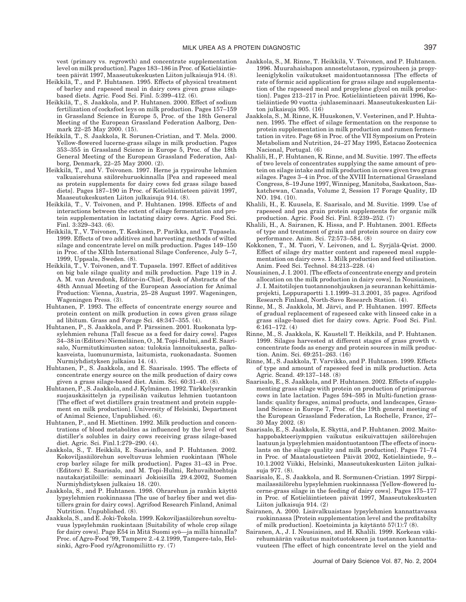vest (primary vs. regrowth) and concentrate supplementation level on milk production]. Pages 183–186 in Proc. of Kotieläintieteen päivät 1997, Maaseutukeskusten Liiton julkaisuja 914. (8).

- Heikkilä, T., and P. Huhtanen. 1995. Effects of physical treatment of barley and rapeseed meal in dairy cows given grass silagebased diets. Agric. Food Sci. Finl. 5:399–412. (6).
- Heikkilä, T., S. Jaakkola, and P. Huhtanen. 2000. Effect of sodium fertilization of cocksfoot leys on milk production. Pages 157–159 in Grassland Science in Europe 5, Proc. of the 18th General Meeting of the European Grassland Federation Aalborg, Denmark 22–25 May 2000. (15).
- Heikkilä, T., S. Jaakkola, R. Sorunen-Cristian, and T. Mela. 2000. Yellow-flowered lucerne-grass silage in milk production. Pages 353–355 in Grassland Science in Europe 5, Proc. of the 18th General Meeting of the European Grassland Federation, Aalborg, Denmark, 22–25 May 2000. (2).
- Heikkilä, T., and V. Toivonen. 1997. Herne ja rypsirouhe lehmien valkuaisrehuna säilörehuruokinnalla [Pea and rapeseed meal as protein supplements for dairy cows fed grass silage based diets]. Pages 187–190 in Proc. of Kotieläintieteen päivät 1997, Maaseutukeskusten Liiton julkaisuja 914. (8).
- Heikkilä, T., V. Toivonen, and P. Huhtanen. 1998. Effects of and interactions between the extent of silage fermentation and protein supplementation in lactating dairy cows. Agric. Food Sci. Finl. 3:329–343. (6).
- Heikkilä, T., V. Toivonen, T. Keskinen, P. Parikka, and T. Tupasela. 1999. Effects of two additives and harvesting methods of wilted silage and concentrate level on milk production. Pages 149–150 in Proc. of the XIIth International Silage Conference, July 5–7, 1999, Uppsala, Sweden. (8).
- Heikkilä, T., V. Toivonen, and T. Tupasela. 1997. Effect of additives on big bale silage quality and milk production. Page 119 in J. A. M. van Arendonk, Editor-in-Chief, Book of Abstracts of the 48th Annual Meeting of the European Association for Animal Production: Vienna, Austria, 25–28 August 1997. Wageningen, Wageningen Press. (3).
- Huhtanen, P. 1993. The effects of concentrate energy source and protein content on milk production in cows given grass silage ad libitum. Grass and Forage Sci. 48:347–355. (4).
- Huhtanen, P., S. Jaakkola, and P. Pärssinen. 2001. Ruokonata lypsylehmien rehuna [Tall fescue as a feed for dairy cows]. Pages 34–38 in (Editors) Niemela¨inen, O., M. Topi-Hulmi, and E. Saarisalo, Nurmitutkimusten satoa: tuloksia lannoituksesta, palkokasveista, luomunurmista, laitumista, ruokonadasta. Suomen Nurmiyhdistyksen julkaisu 14. (4).
- Huhtanen, P., S. Jaakkola, and E. Saarisalo. 1995. The effects of concentrate energy source on the milk production of dairy cows given a grass silage-based diet. Anim. Sci. 60:31–40. (8).
- Huhtanen, P., S. Jaakkola, and J. Kylmänen. 1992. Tärkkelysrankin suojauskäsittelyn ja rypsilisän vaikutus lehmien tuotantoon [The effect of wet distillers grain treatment and protein supplement on milk production]. University of Helsinki, Department of Animal Science, Unpublished. (6).
- Huhtanen, P., and H. Miettinen. 1992. Milk production and concentrations of blood metabolites as influenced by the level of wet distiller's solubles in dairy cows receiving grass silage-based diet. Agric. Sci. Finl.1:279–290. (4).
- Jaakkola, S., T. Heikkilä, E. Saarisalo, and P. Huhtanen. 2002. Kokoviljasäilörehun soveltuvuus lehmien ruokintaan [Whole crop barley silage for milk production]. Pages 31–43 in Proc. (Editors) E. Saarisalo, and M. Topi-Hulmi, Rehuvaihtoehtoja nautakarjatiloille: seminaari Jokioisilla 29.4.2002, Suomen Nurmiyhdistyksen julkaisu 18. (20).
- Jaakkola, S., and P. Huhtanen. 1998. Ohrarehun ja rankin käyttö lypsylehmien ruokinnassa [The use of barley fiber and wet distillers grain for dairy cows]. Agrifood Research Finland, Animal Nutrition. Unpublished. (8).
- Jaakkola, S., and E. Joki-Tokola. 1999. Kokoviljasäilörehun soveltuvuus lypsylehmän ruokintaan [Suitability of whole crop silage for dairy cows]. Page E54 in Mitä Suomi syö—ja millä hinnalla? Proc. of Agro-Food ′99, Tampere 2.-4.2.1999, Tampere-talo, Helsinki, Agro-Food ry/Agronomiliitto ry. (7)
- Jaakkola, S., M. Rinne, T. Heikkilä, V. Toivonen, and P. Huhtanen. 1996. Muurahaishapon annostelutason, rypsirouheen ja propyleeniglykolin vaikutukset maidontuotannossa [The effects of rate of formic acid application for grass silage and supplementation of the rapeseed meal and propylene glycol on milk production]. Pages 213–217 in Proc. Kotieläintieteen päivät 1996, Kotieläintiede 90 vuotta -juhlaseminaari. Maaseutukeskusten Liiton julkaisuja 905. (16)
- Jaakkola, S., M. Rinne, K. Huuskonen, V. Vesterinen, and P. Huhtanen. 1995. The effect of silage fermentation on the response to protein supplementation in milk production and rumen fermentation in vitro. Page 68 in Proc. of the VII Symposium on Protein Metabolism and Nutrition, 24–27 May 1995, Estacao Zootecnica Nacional, Portugal. (6)
- Khalili, H., P. Huhtanen, K. Rinne, and M. Suvitie. 1997. The effects of two levels of concentrates supplying the same amount of protein on silage intake and milk production in cows given two grass silages. Pages 3–4 in Proc. of the XVIII International Grassland Congress, 8–19 June 1997, Winnipeg, Manitoba, Saskatoon, Saskatchewan, Canada, Volume 2, Session 17 Forage Quality, ID NO. 194. (10).
- Khalili, H., E. Kuusela, E. Saarisalo, and M. Suvitie. 1999. Use of rapeseed and pea grain protein supplements for organic milk production. Agric. Food Sci. Finl. 8:239–252. (7)
- Khalili, H., A. Sairanen, K. Hissa, and P. Huhtanen. 2001. Effects of type and treatment of grain and protein source on dairy cow performance. Anim. Sci. 72:573–584. (8)
- Kokkonen, T., M. Tuori, V. Leivonen, and L. Syrjälä-Qvist. 2000. Effect of silage dry matter content and rapeseed meal supplementation on dairy cows. 1. Milk production and feed utilisation. Anim. Feed Sci. Technol. 84:213–228. (4)
- Nousiainen, J. I. 2001. [The effects of concentrate energy and protein allocation on the milk production in dairy cows]. In Nousiainen, J. I. Maitotilojen tuotannonohjauksen ja seurannan kehittämisprojekti, Loppuraportti 1.1.1999–31.3.2001, 35 pages. Agrifood Research Finland, North-Savo Research Station. (4).
- Rinne, M., S. Jaakkola, M. Järvi, and P. Huhtanen. 1997. Effects of gradual replacement of rapeseed cake with linseed cake in a grass silage-based diet for dairy cows. Agric. Food Sci. Finl. 6:161–172. (4)
- Rinne, M., S. Jaakkola, K. Kaustell T. Heikkilä, and P. Huhtanen. 1999. Silages harvested at different stages of grass growth v. concentrate foods as energy and protein sources in milk production. Anim. Sci. 69:251–263. (16)
- Rinne, M., S. Jaakkola, T. Varvikko, and P. Huhtanen. 1999. Effects of type and amount of rapeseed feed in milk production. Acta Agric. Scand. 49:137–148. (8)
- Saarisalo, E., S. Jaakkola, and P. Huhtanen. 2002. Effects of supplementing grass silage with protein on production of primiparous cows in late lactation. Pages 594–595 in Multi-function grasslands: quality forages, animal products, and landscapes, Grassland Science in Europe 7, Proc. of the 19th general meeting of the European Grassland Federation, La Rochelle, France, 27– 30 May 2002. (8)
- Saarisalo, E., S. Jaakkola, E. Skyttä, and P. Huhtanen. 2002. Maitohappobakteeriymppien vaikutus esikuivattujen säilörehujen laatuun ja lypsylehmien maidontuotantoon [The effects of inoculants on the silage quality and milk production]. Pages 71–74 in Proc. of Maataloustieteen Päivät 2002, Kotieläintiede, 9.– 10.1.2002 Viikki, Helsinki, Maaseutukeskusten Liiton julkaisuja 977. (8).
- Saarisalo, E., S. Jaakkola, and R. Sormunen-Cristian. 1997 Sirppimailassäilörehu lypsylehmien ruokinnassa [Yellow-flowered lucerne-grass silage in the feeding of dairy cows]. Pages 175–177 in Proc. of Kotieläintieteen päivät 1997, Maaseutukeskusten Liiton julkaisuja 914. (2)
- Sairanen, A. 2000. Lisävalkuaistaso lypsylehmien kannattavassa ruokinnassa [Protein supplementation level and the profitabilty of milk production]. Koetoiminta ja käytäntö  $57(1)$ :7 (8).
- Sairanen, A., J. I. Nousiainen, and H. Khalili. 1999. Korkean väkirehumäärän vaikutus maitotuotokseen ja tuotannon kannattavuuteen [The effect of high concentrate level on the yield and